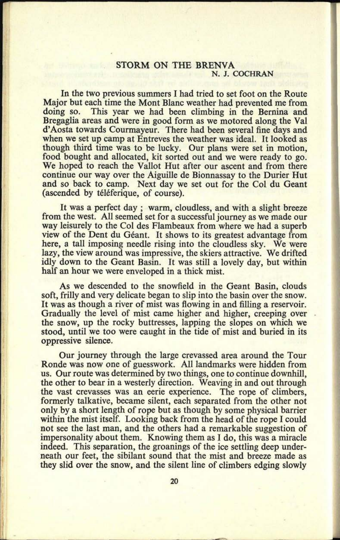## STORM ON THE BRENVA N. J. COCHRAN

In the two previous summers I had tried to set foot on the Route Major but each time the Mont Blanc weather had prevented me from<br>doing so. This year we had been climbing in the Bernina and This year we had been climbing in the Bernina and Bregaglia areas and were in good form as we motored along the Val d'Aosta towards Courmayeur. There had been several fine days and when we set up camp at Entreves the weather was ideal. It looked as though third time was to be lucky. Our plans were set in motion, food bought and allocated, kit sorted out and we were ready to go. We hoped to reach the Vallot Hut after our ascent and from there continue our way over the Aiguille de Bionnassay to the Durier Hut and so back to camp. Next day we set out for the Col du Geant (ascended by téléferique, of course).

It was a perfect day ; warm, cloudless, and with a slight breeze from the west. All seemed set for a successful journey as we made our way leisurely to the Col des Flambeaux from where we had a superb view of the Dent du Géant. It shows to its greatest advantage from here, a tall imposing needle rising into the cloudless sky. We were lazy, the view around was impressive, the skiers attractive. We drifted idly down to the Geant Basin. It was still a lovely day, but within half an hour we were enveloped in a thick mist.

As we descended to the snowfield in the Geant Basin, clouds soft, frilly and very delicate began to slip into the basin over the snow. It was as though a river of mist was flowing in and filling a reservoir. Gradually the level of mist came higher and higher, creeping over the snow, up the rocky buttresses, lapping the slopes on which we stood, until we too were caught in the tide of mist and buried in its oppressive silence.

Our journey through the large crevassed area around the Tour Ronde was now one of guesswork. All landmarks were hidden from us. Our route was determined by two things, one to continue downhill, the other to bear in a westerly direction. Weaving in and out through the vast crevasses was an eerie experience. The rope of climbers, formerly talkative, became silent, each separated from the other not only by a short length of rope but as though by some physical barrier within the mist itself. Looking back from the head of the rope I could not see the last man, and the others had a remarkable suggestion of impersonality about them. Knowing them as I do, this was a miracle indeed. This separation, the groanings of the ice settling deep underneath our feet, the sibilant sound that the mist and breeze made as they slid over the snow, and the silent line of climbers edging slowly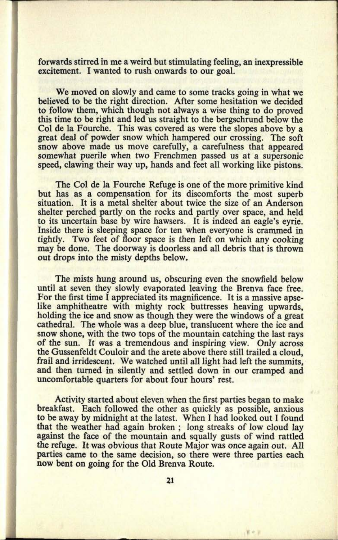forwards stirred in me a weird but stimulating feeling, an inexpressible excitement. I wanted to rush onwards to our goal.

We moved on slowly and came to some tracks going in what we believed to be the right direction. After some hesitation we decided to follow them, which though not always a wise thing to do proved this time to be right and led us straight to the bergschrund below the Col de la Fourche. This was covered as were the slopes above by <sup>a</sup> great deal of powder snow which hampered our crossing. The soft snow above made us move carefully, a carefulness that appeared somewhat puerile when two Frenchmen passed us at a supersonic speed, clawing their way up, hands and feet all working like pistons.

The Col de la Fourche Refuge is one of the more primitive kind but has as a compensation for its discomforts the most superb situation. It is a metal shelter about twice the size of an Anderson shelter perched partly on the rocks and partly over space, and held to its uncertain base by wire hawsers. It is indeed an eagle's eyrie. Inside there is sleeping space for ten when everyone is crammed in tightly. Two feet of floor space is then left on which any cooking may be done. The doorway is doorless and all debris that is thrown out drops into the misty depths below.

The mists hung around us, obscuring even the snowfield below until at seven they slowly evaporated leaving the Brenva face free. For the first time I appreciated its magnificence. It is a massive apselike amphitheatre with mighty rock buttresses heaving upwards, holding the ice and snow as though they were the windows of a great cathedral. The whole was a deep blue, translucent where the ice and snow shone, with the two tops of the mountain catching the last rays of the sun. It was a tremendous and inspiring view. Only across the Gussenfeldt Couloir and the arete above there still trailed a cloud, frail and irridescent. We watched until all light had left the summits, and then turned in silently and settled down in our cramped and uncomfortable quarters for about four hours' rest.

Activity started about eleven when the first parties began to make breakfast. Each followed the other as quickly as possible, anxious to be away by midnight at the latest. When I had looked out I found that the weather had again broken ; long streaks of low cloud lay against the face of the mountain and squally gusts of wind rattled the refuge. It was obvious that Route Major was once again out. All parties came to the same decision, so there were three parties each now bent on going for the Old Brenva Route.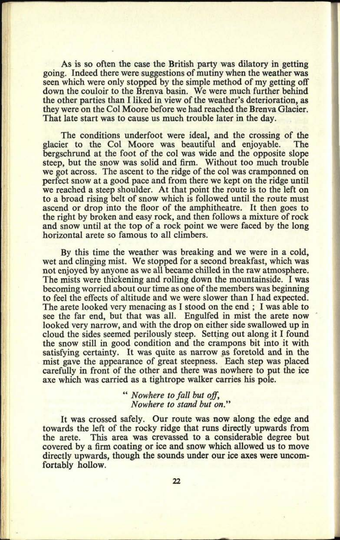As is so often the case the British party was dilatory in getting going. Indeed there were suggestions of mutiny when the weather was seen which were only stopped by the simple method of my getting off down the couloir to the Brenva basin. We were much further behind the other parties than I liked in view of the weather's deterioration, as they were on the Col Moore before we had reached the Brenva Glacier. That late start was to cause us much trouble later in the day.

The conditions underfoot were ideal, and the crossing of the er to the Col Moore was beautiful and enjoyable. The glacier to the Col Moore was beautiful and enjoyable. bergschrund at the foot of the col was wide and the opposite slope steep, but the snow was solid and firm. Without too much trouble we got across. The ascent to the ridge of the col was cramponned on perfect snow at a good pace and from there we kept on the ridge until we reached a steep shoulder. At that point the route is to the left on to a broad rising belt of snow which is followed until the route must ascend or drop into the floor of the amphitheatre. It then goes to the right by broken and easy rock, and then follows a mixture of rock and snow until at the top of a rock point we were faced by the long horizontal arete so famous to all climbers.

By this time the weather was breaking and we were in a cold, wet and clinging mist. We stopped for a second breakfast, which was not enjoyed by anyone as we all became chilled in the raw atmosphere. The mists were thickening and rolling down the mountainside. I was becoming worried about our time as one of the members was beginning to feel the effects of altitude and we were slower than I had expected. The arete looked very menacing as I stood on the end ; I was able to see the far end, but that was all. Engulfed in mist the arete now looked very narrow, and with the drop on either side swallowed up in cloud the sides seemed perilously steep. Setting out along it I found the snow still in good condition and the crampons bit into it with satisfying certainty. It was quite as narrow as foretold and in the mist gave the appearance of great steepness. Each step was placed carefully in front of the other and there was nowhere to put the ice axe which was carried as a tightrope walker carries his pole.

> " *Nowhere to fall but off, Nowhere to stand but on."*

It was crossed safely. Our route was now along the edge and towards the left of the rocky ridge that runs directly upwards from the arete. This area was crevassed to a considerable degree but covered by a firm coating or ice and snow which allowed us to move directly upwards, though the sounds under our ice axes were uncomfortably hollow.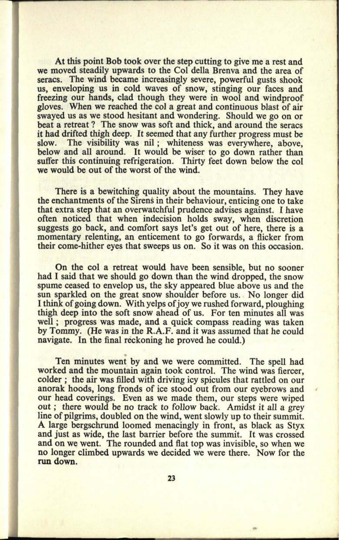At this point Bob took over the step cutting to give me a rest and we moved steadily upwards to the Col della Brenva and the area of seracs. The wind became increasingly severe, powerful gusts shook us, enveloping us in cold waves of snow, stinging our faces and freezing our hands, clad though they were in wool and windproof gloves. When we reached the col <sup>a</sup>great and continuous blast of air swayed us as we stood hesitant and wondering. Should we go on or beat a retreat ? The snow was soft and thick, and around the seracs it had drifted thigh deep. It seemed that any further progress must be slow. The visibility was nil: whiteness was everywhere, above. The visibility was nil; whiteness was everywhere, above, below and all around. It would be wiser to go down rather than suffer this continuing refrigeration. Thirty feet down below the col we would be out of the worst of the wind.

**27. 0509**

There is a bewitching quality about the mountains. They have the enchantments of the Sirens in their behaviour, enticing one to take that extra step that an overwatchful prudence advises against. I have often noticed that when indecision holds sway, when discretion suggests go back, and comfort says let's get out of here, there is a momentary relenting, an enticement to go forwards, a flicker from their come-hither eyes that sweeps us on. So it was on this occasion.

On the col a retreat would have been sensible, but no sooner had I said that we should go down than the wind dropped, the snow spume ceased to envelop us, the sky appeared blue above us and the sun sparkled on the great snow shoulder before us. No longer did <sup>I</sup>think of going down. With yelps of joy we rushed forward, ploughing thigh deep into the soft snow ahead of us. For ten minutes all was well; progress was made, and a quick compass reading was taken by Tommy. (He was in the R.A.F. and it was assumed that he could navigate. In the final reckoning he proved he could.)

Ten minutes went by and we were committed. The spell had worked and the mountain again took control. The wind was fiercer, colder ; the air was filled with driving icy spicules that rattled on our anorak hoods, long fronds of ice stood out from our eyebrows and our head coverings. Even as we made them, our steps were wiped out; there would be no track to follow back. Amidst it all a grey line of pilgrims, doubled on the wind, went slowly up to their summit. A large bergschrund loomed menacingly in front, as black as Styx and just as wide, the last barrier before the summit. It was crossed and on we went. The rounded and flat top was invisible, so when we no longer climbed upwards we decided we were there. Now for the run down.